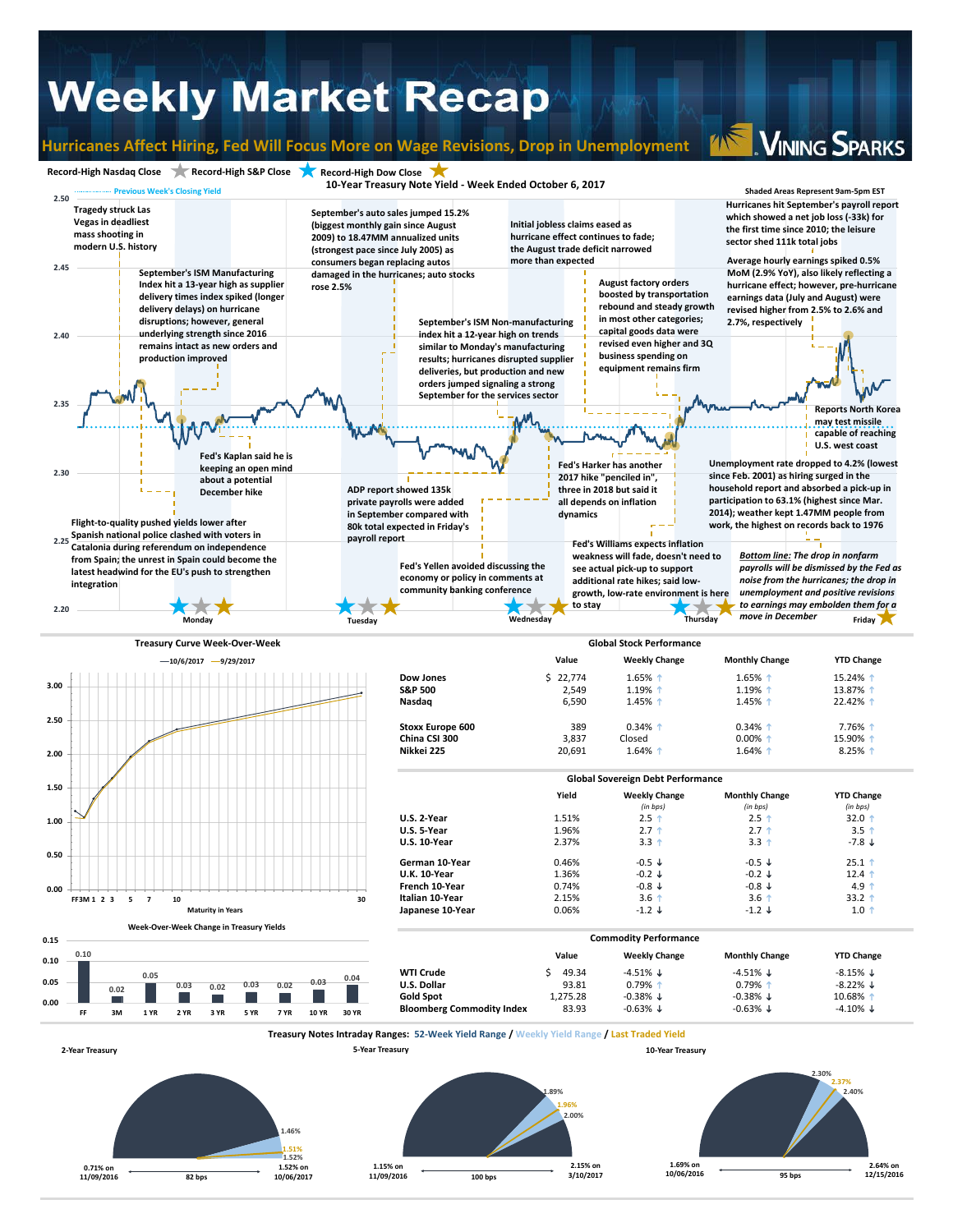## **Weekly Market Recap**

### **Hurricanes Affect Hiring, Fed Will Focus More on Wage Revisions, Drop in Unemployment**

**VINING SPARKS** 



**82 bps 10/06/2017**

**0.71% on 11/09/2016** **1.51% 1.52%**

**1.52% on** 

**1.15% on 11/09/2016 100 bps 3/10/2017**

**2.15% on** 

**1.69% on 10/06/2016**

**2.64% on 95 bps 12/15/2016**